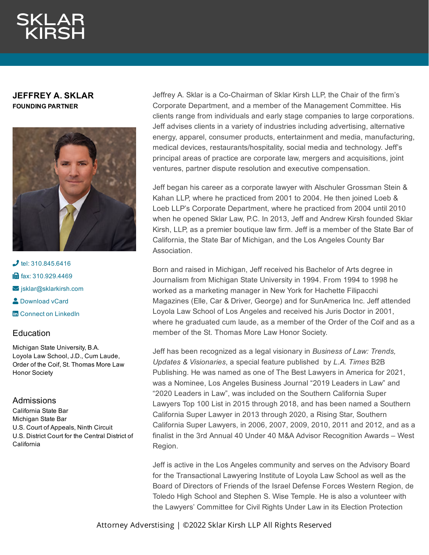## **JEFFREY A. SKLAR FOUNDING PARTNER**



 $J$  tel: [310.845.6416](tel:310.845.6416) **in** fax: [310.929.4469](fax:310.929.4469)  $\blacktriangleright$  [jsklar@sklarkirsh.com](mailto:jsklar@sklarkirsh.com) **2** [Download](https://www.sklarkirsh.com/api/vcard?firstName=Jeffrey&middleName=A.&lastName=Sklar&email=jsklar@sklarkirsh.com&position=FOUNDING%20PARTNER&company=Sklar%20Kirsh%20LLP&phone=310.845.6416&fax=310.929.4469&address1=1880%20Century%20Park%20East,%20Ste%20300&city=Los%20Angeles&state=CA&zip=90067&country=US&image=https%253A%252F%252Fres.cloudinary.com%252Fsklar-kirsh-main%252Fimages%252F%252Ff_auto%252Cq_auto%252Fv1644341178%252FJSklar2-4_4236ceefe%252FJSklar2-4_4236ceefe.jpg%253F_i%253DAA&) vCard **Th** Connect on [LinkedIn](https://www.linkedin.com/pub/jeffrey-sklar/4/501/4a3)

## **Education**

Michigan State University, B.A. Loyola Law School, J.D., Cum Laude, Order of the Coif, St. Thomas More Law Honor Society

## Admissions

California State Bar Michigan State Bar U.S. Court of Appeals, Ninth Circuit U.S. District Court for the Central District of **California** 

Jeffrey A. Sklar is a Co-Chairman of Sklar Kirsh LLP, the Chair of the firm's Corporate Department, and a member of the Management Committee. His clients range from individuals and early stage companies to large corporations. Jeff advises clients in a variety of industries including advertising, alternative energy, apparel, consumer products, entertainment and media, manufacturing, medical devices, restaurants/hospitality, social media and technology. Jeff's principal areas of practice are corporate law, mergers and acquisitions, joint ventures, partner dispute resolution and executive compensation.

Jeff began his career as a corporate lawyer with Alschuler Grossman Stein & Kahan LLP, where he practiced from 2001 to 2004. He then joined Loeb & Loeb LLP's Corporate Department, where he practiced from 2004 until 2010 when he opened Sklar Law, P.C. In 2013, Jeff and Andrew Kirsh founded Sklar Kirsh, LLP, as a premier boutique law firm. Jeff is a member of the State Bar of California, the State Bar of Michigan, and the Los Angeles County Bar Association.

Born and raised in Michigan, Jeff received his Bachelor of Arts degree in Journalism from Michigan State University in 1994. From 1994 to 1998 he worked as a marketing manager in New York for Hachette Filipacchi Magazines (Elle, Car & Driver, George) and for SunAmerica Inc. Jeff attended Loyola Law School of Los Angeles and received his Juris Doctor in 2001, where he graduated cum laude, as a member of the Order of the Coif and as a member of the St. Thomas More Law Honor Society.

Jeff has been recognized as a legal visionary in *Business of Law: Trends, Updates & Visionaries*, a special feature published by *L.A. Times* B2B Publishing. He was named as one of The Best Lawyers in America for 2021, was a Nominee, Los Angeles Business Journal "2019 Leaders in Law" and "2020 Leaders in Law", was included on the Southern California Super Lawyers Top 100 List in 2015 through 2018, and has been named a Southern California Super Lawyer in 2013 through 2020, a Rising Star, Southern California Super Lawyers, in 2006, 2007, 2009, 2010, 2011 and 2012, and as a finalist in the 3rd Annual 40 Under 40 M&A Advisor Recognition Awards – West Region.

Jeff is active in the Los Angeles community and serves on the Advisory Board for the Transactional Lawyering Institute of Loyola Law School as well as the Board of Directors of Friends of the Israel Defense Forces Western Region, de Toledo High School and Stephen S. Wise Temple. He is also a volunteer with the Lawyers' Committee for Civil Rights Under Law in its Election Protection

Attorney Adverstising | ©2022 Sklar Kirsh LLP All Rights Reserved